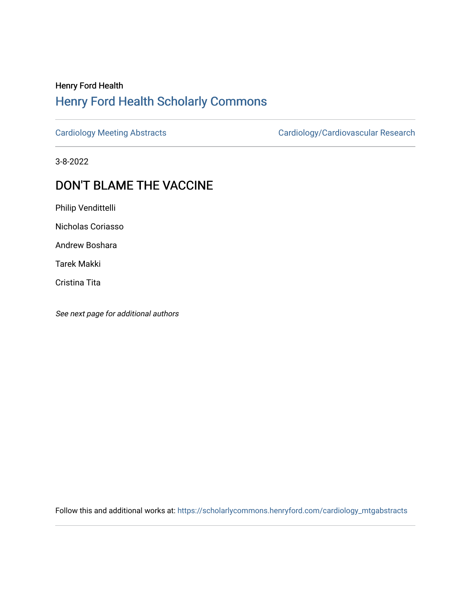## Henry Ford Health [Henry Ford Health Scholarly Commons](https://scholarlycommons.henryford.com/)

[Cardiology Meeting Abstracts](https://scholarlycommons.henryford.com/cardiology_mtgabstracts) [Cardiology/Cardiovascular Research](https://scholarlycommons.henryford.com/cardiology) 

3-8-2022

## DON'T BLAME THE VACCINE

Philip Vendittelli

Nicholas Coriasso

Andrew Boshara

Tarek Makki

Cristina Tita

See next page for additional authors

Follow this and additional works at: [https://scholarlycommons.henryford.com/cardiology\\_mtgabstracts](https://scholarlycommons.henryford.com/cardiology_mtgabstracts?utm_source=scholarlycommons.henryford.com%2Fcardiology_mtgabstracts%2F329&utm_medium=PDF&utm_campaign=PDFCoverPages)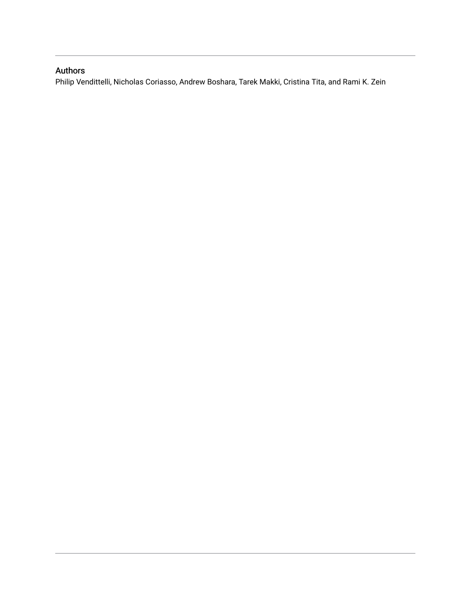## Authors

Philip Vendittelli, Nicholas Coriasso, Andrew Boshara, Tarek Makki, Cristina Tita, and Rami K. Zein